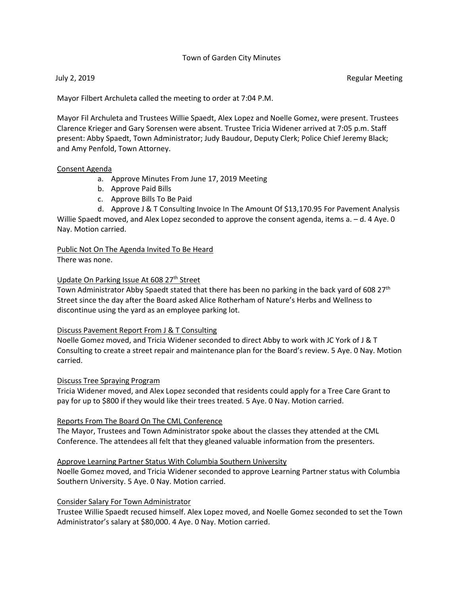# Town of Garden City Minutes

July 2, 2019 Regular Meeting

Mayor Filbert Archuleta called the meeting to order at 7:04 P.M.

Mayor Fil Archuleta and Trustees Willie Spaedt, Alex Lopez and Noelle Gomez, were present. Trustees Clarence Krieger and Gary Sorensen were absent. Trustee Tricia Widener arrived at 7:05 p.m. Staff present: Abby Spaedt, Town Administrator; Judy Baudour, Deputy Clerk; Police Chief Jeremy Black; and Amy Penfold, Town Attorney.

#### Consent Agenda

- a. Approve Minutes From June 17, 2019 Meeting
- b. Approve Paid Bills
- c. Approve Bills To Be Paid

d. Approve J & T Consulting Invoice In The Amount Of \$13,170.95 For Pavement Analysis Willie Spaedt moved, and Alex Lopez seconded to approve the consent agenda, items a. – d. 4 Aye. 0 Nay. Motion carried.

Public Not On The Agenda Invited To Be Heard There was none.

#### Update On Parking Issue At 608 27<sup>th</sup> Street

Town Administrator Abby Spaedt stated that there has been no parking in the back yard of 608 27<sup>th</sup> Street since the day after the Board asked Alice Rotherham of Nature's Herbs and Wellness to discontinue using the yard as an employee parking lot.

# Discuss Pavement Report From J & T Consulting

Noelle Gomez moved, and Tricia Widener seconded to direct Abby to work with JC York of J & T Consulting to create a street repair and maintenance plan for the Board's review. 5 Aye. 0 Nay. Motion carried.

# Discuss Tree Spraying Program

Tricia Widener moved, and Alex Lopez seconded that residents could apply for a Tree Care Grant to pay for up to \$800 if they would like their trees treated. 5 Aye. 0 Nay. Motion carried.

#### Reports From The Board On The CML Conference

The Mayor, Trustees and Town Administrator spoke about the classes they attended at the CML Conference. The attendees all felt that they gleaned valuable information from the presenters.

# Approve Learning Partner Status With Columbia Southern University

Noelle Gomez moved, and Tricia Widener seconded to approve Learning Partner status with Columbia Southern University. 5 Aye. 0 Nay. Motion carried.

# Consider Salary For Town Administrator

Trustee Willie Spaedt recused himself. Alex Lopez moved, and Noelle Gomez seconded to set the Town Administrator's salary at \$80,000. 4 Aye. 0 Nay. Motion carried.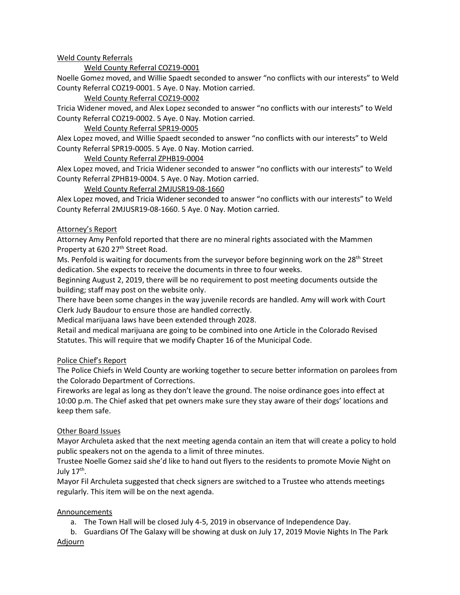# Weld County Referrals

# Weld County Referral COZ19-0001

Noelle Gomez moved, and Willie Spaedt seconded to answer "no conflicts with our interests" to Weld County Referral COZ19-0001. 5 Aye. 0 Nay. Motion carried.

# Weld County Referral COZ19-0002

Tricia Widener moved, and Alex Lopez seconded to answer "no conflicts with our interests" to Weld County Referral COZ19-0002. 5 Aye. 0 Nay. Motion carried.

# Weld County Referral SPR19-0005

Alex Lopez moved, and Willie Spaedt seconded to answer "no conflicts with our interests" to Weld County Referral SPR19-0005. 5 Aye. 0 Nay. Motion carried.

# Weld County Referral ZPHB19-0004

Alex Lopez moved, and Tricia Widener seconded to answer "no conflicts with our interests" to Weld County Referral ZPHB19-0004. 5 Aye. 0 Nay. Motion carried.

# Weld County Referral 2MJUSR19-08-1660

Alex Lopez moved, and Tricia Widener seconded to answer "no conflicts with our interests" to Weld County Referral 2MJUSR19-08-1660. 5 Aye. 0 Nay. Motion carried.

# Attorney's Report

Attorney Amy Penfold reported that there are no mineral rights associated with the Mammen Property at 620 27<sup>th</sup> Street Road.

Ms. Penfold is waiting for documents from the surveyor before beginning work on the 28<sup>th</sup> Street dedication. She expects to receive the documents in three to four weeks.

Beginning August 2, 2019, there will be no requirement to post meeting documents outside the building; staff may post on the website only.

There have been some changes in the way juvenile records are handled. Amy will work with Court Clerk Judy Baudour to ensure those are handled correctly.

Medical marijuana laws have been extended through 2028.

Retail and medical marijuana are going to be combined into one Article in the Colorado Revised Statutes. This will require that we modify Chapter 16 of the Municipal Code.

# Police Chief's Report

The Police Chiefs in Weld County are working together to secure better information on parolees from the Colorado Department of Corrections.

Fireworks are legal as long as they don't leave the ground. The noise ordinance goes into effect at 10:00 p.m. The Chief asked that pet owners make sure they stay aware of their dogs' locations and keep them safe.

# Other Board Issues

Mayor Archuleta asked that the next meeting agenda contain an item that will create a policy to hold public speakers not on the agenda to a limit of three minutes.

Trustee Noelle Gomez said she'd like to hand out flyers to the residents to promote Movie Night on July  $17<sup>th</sup>$ .

Mayor Fil Archuleta suggested that check signers are switched to a Trustee who attends meetings regularly. This item will be on the next agenda.

# **Announcements**

a. The Town Hall will be closed July 4-5, 2019 in observance of Independence Day.

b. Guardians Of The Galaxy will be showing at dusk on July 17, 2019 Movie Nights In The Park Adjourn